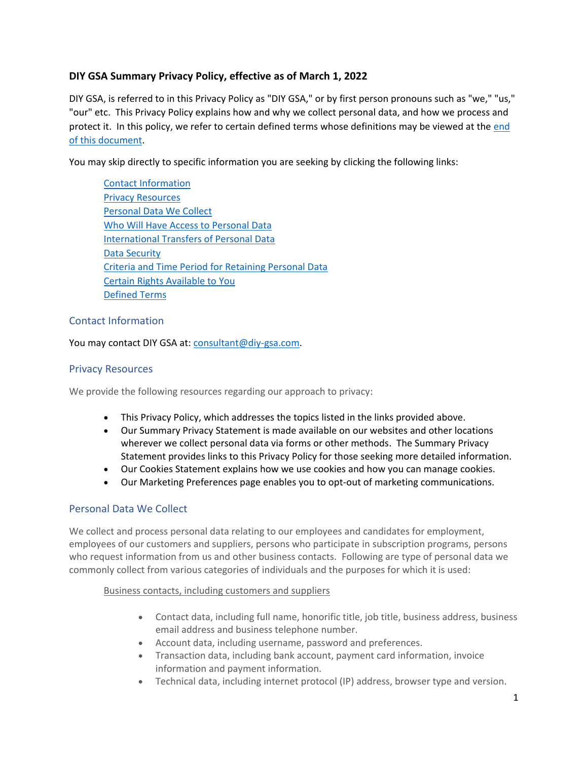# **DIY GSA Summary Privacy Policy, effective as of March 1, 2022**

DIY GSA, is referred to in this Privacy Policy as "DIY GSA," or by first person pronouns such as "we," "us," "our" etc. This Privacy Policy explains how and why we collect personal data, and how we process and protect it. In this policy, we refer to certain defined terms whose definitions may be viewed at the end [of this document.](#page-4-0)

<span id="page-0-3"></span>You may skip directly to specific information you are seeking by clicking the following links:

[Contact Information](#page-0-0) [Privacy Resources](#page-0-1) [Personal Data We Collect](#page-0-2) [Who Will Have Access to Personal Data](#page-2-0) [International Transfers of Personal Data](#page-3-0) [Data Security](#page-3-1) [Criteria and Time Period for Retaining Personal Data](#page-3-2) [Certain Rights Available to You](#page-3-3) [Defined](#page-4-0) Terms

## <span id="page-0-0"></span>Contact Information

You may contact DIY GSA at: [consultant@diy-gsa.com.](mailto:consultant@diy-gsa.com)

## <span id="page-0-1"></span>Privacy Resources

We provide the following resources regarding our approach to privacy:

- This Privacy Policy, which addresses the topics listed in the links provided [above.](#page-0-3)
- Our Summary Privacy Statement is made available on our websites and other locations wherever we collect personal data via forms or other methods. The Summary Privacy Statement provides links to this Privacy Policy for those seeking more detailed information.
- Our Cookies Statement explains how we use cookies and how you can manage cookies.
- Our Marketing Preferences page enables you to opt-out of marketing communications.

# <span id="page-0-2"></span>Personal Data We Collect

We collect and process personal data relating to our employees and candidates for employment, employees of our customers and suppliers, persons who participate in subscription programs, persons who request information from us and other business contacts. Following are type of personal data we commonly collect from various categories of individuals and the purposes for which it is used:

#### Business contacts, including customers and suppliers

- Contact data, including full name, honorific title, job title, business address, business email address and business telephone number.
- Account data, including username, password and preferences.
- Transaction data, including bank account, payment card information, invoice information and payment information.
- Technical data, including internet protocol (IP) address, browser type and version.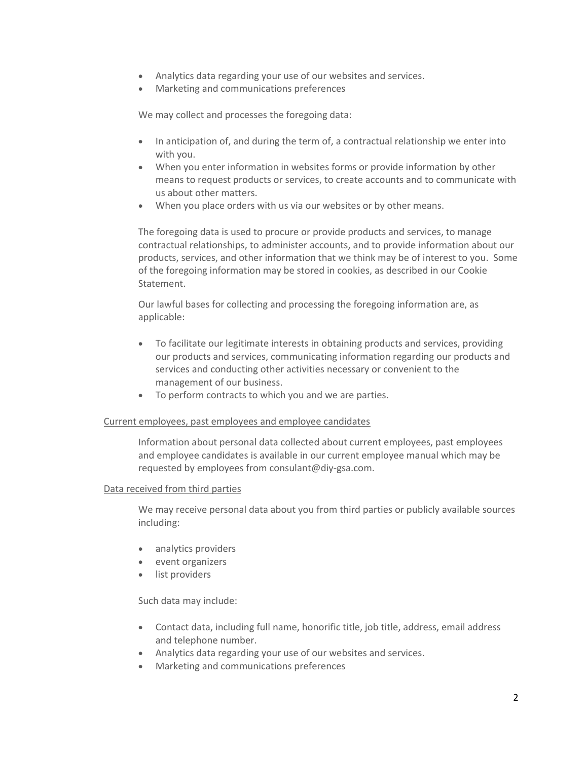- Analytics data regarding your use of our websites and services.
- Marketing and communications preferences

We may collect and processes the foregoing data:

- In anticipation of, and during the term of, a contractual relationship we enter into with you.
- When you enter information in websites forms or provide information by other means to request products or services, to create accounts and to communicate with us about other matters.
- When you place orders with us via our websites or by other means.

The foregoing data is used to procure or provide products and services, to manage contractual relationships, to administer accounts, and to provide information about our products, services, and other information that we think may be of interest to you. Some of the foregoing information may be stored in cookies, as described in our Cookie Statement.

Our lawful bases for collecting and processing the foregoing information are, as applicable:

- To facilitate our legitimate interests in obtaining products and services, providing our products and services, communicating information regarding our products and services and conducting other activities necessary or convenient to the management of our business.
- To perform contracts to which you and we are parties.

#### Current employees, past employees and employee candidates

Information about personal data collected about current employees, past employees and employee candidates is available in our current employee manual which may be requested by employees from consulant@diy-gsa.com.

#### Data received from third parties

We may receive personal data about you from third parties or publicly available sources including:

- analytics providers
- event organizers
- list providers

Such data may include:

- Contact data, including full name, honorific title, job title, address, email address and telephone number.
- Analytics data regarding your use of our websites and services.
- Marketing and communications preferences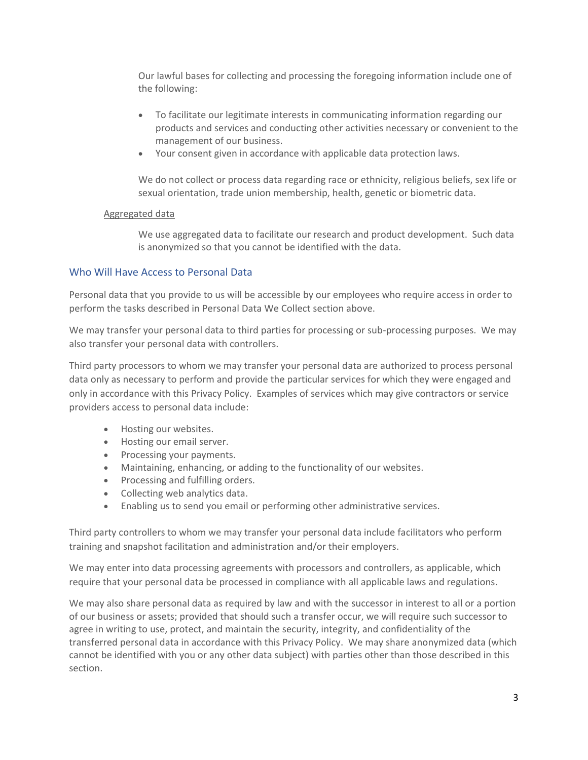Our lawful bases for collecting and processing the foregoing information include one of the following:

- To facilitate our legitimate interests in communicating information regarding our products and services and conducting other activities necessary or convenient to the management of our business.
- Your consent given in accordance with applicable data protection laws.

We do not collect or process data regarding race or ethnicity, religious beliefs, sex life or sexual orientation, trade union membership, health, genetic or biometric data.

#### Aggregated data

We use aggregated data to facilitate our research and product development. Such data is anonymized so that you cannot be identified with the data.

#### <span id="page-2-0"></span>Who Will Have Access to Personal Data

Personal data that you provide to us will be accessible by our employees who require access in order to perform the tasks described in Personal Data We Collect section above.

We may transfer your personal data to third parties for processing or sub-processing purposes. We may also transfer your personal data with controllers.

Third party processors to whom we may transfer your personal data are authorized to process personal data only as necessary to perform and provide the particular services for which they were engaged and only in accordance with this Privacy Policy. Examples of services which may give contractors or service providers access to personal data include:

- Hosting our websites.
- Hosting our email server.
- Processing your payments.
- Maintaining, enhancing, or adding to the functionality of our websites.
- Processing and fulfilling orders.
- Collecting web analytics data.
- Enabling us to send you email or performing other administrative services.

Third party controllers to whom we may transfer your personal data include facilitators who perform training and snapshot facilitation and administration and/or their employers.

We may enter into data processing agreements with processors and controllers, as applicable, which require that your personal data be processed in compliance with all applicable laws and regulations.

We may also share personal data as required by law and with the successor in interest to all or a portion of our business or assets; provided that should such a transfer occur, we will require such successor to agree in writing to use, protect, and maintain the security, integrity, and confidentiality of the transferred personal data in accordance with this Privacy Policy. We may share anonymized data (which cannot be identified with you or any other data subject) with parties other than those described in this section.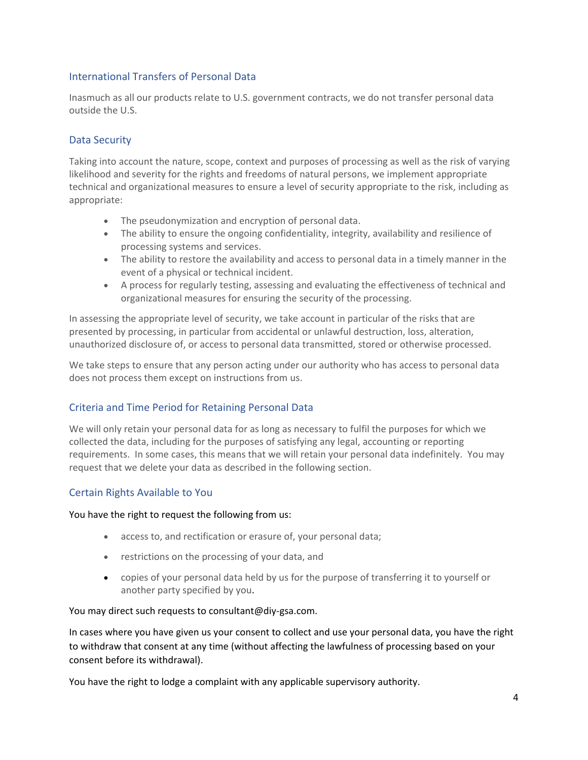## <span id="page-3-0"></span>International Transfers of Personal Data

Inasmuch as all our products relate to U.S. government contracts, we do not transfer personal data outside the U.S.

# <span id="page-3-1"></span>Data Security

Taking into account the nature, scope, context and purposes of processing as well as the risk of varying likelihood and severity for the rights and freedoms of natural persons, we implement appropriate technical and organizational measures to ensure a level of security appropriate to the risk, including as appropriate:

- The pseudonymization and encryption of personal data.
- The ability to ensure the ongoing confidentiality, integrity, availability and resilience of processing systems and services.
- The ability to restore the availability and access to personal data in a timely manner in the event of a physical or technical incident.
- A process for regularly testing, assessing and evaluating the effectiveness of technical and organizational measures for ensuring the security of the processing.

In assessing the appropriate level of security, we take account in particular of the risks that are presented by processing, in particular from accidental or unlawful destruction, loss, alteration, unauthorized disclosure of, or access to personal data transmitted, stored or otherwise processed.

We take steps to ensure that any person acting under our authority who has access to personal data does not process them except on instructions from us.

## <span id="page-3-2"></span>Criteria and Time Period for Retaining Personal Data

We will only retain your personal data for as long as necessary to fulfil the purposes for which we collected the data, including for the purposes of satisfying any legal, accounting or reporting requirements. In some cases, this means that we will retain your personal data indefinitely. You may request that we delete your data as described in the following section.

## <span id="page-3-3"></span>Certain Rights Available to You

You have the right to request the following from us:

- access to, and rectification or erasure of, your personal data;
- restrictions on the processing of your data, and
- copies of your personal data held by us for the purpose of transferring it to yourself or another party specified by you.

#### You may direct such requests to consultant@diy-gsa.com.

In cases where you have given us your consent to collect and use your personal data, you have the right to withdraw that consent at any time (without affecting the lawfulness of processing based on your consent before its withdrawal).

You have the right to lodge a complaint with any applicable supervisory authority.